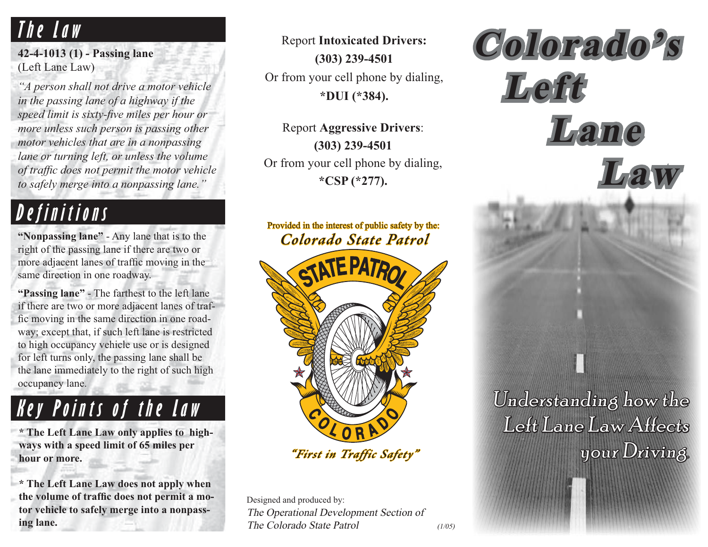#### **The Law**

**42-4-1013 (1) - Passing lane** (Left Lane Law)

*"A person shall not drive a motor vehicle in the passing lane of a highway if the speed limit is sixty-five miles per hour or more unless such person is passing other motor vehicles that are in a nonpassing lane or turning left, or unless the volume of traffic does not permit the motor vehicle to safely merge into a nonpassing lane."*

### **Definitions**

**"Nonpassing lane"** - Any lane that is to the right of the passing lane if there are two or more adjacent lanes of traffic moving in the same direction in one roadway.

**"Passing lane"** - The farthest to the left lane if there are two or more adjacent lanes of traffic moving in the same direction in one roadway; except that, if such left lane is restricted to high occupancy vehicle use or is designed for left turns only, the passing lane shall be the lane immediately to the right of such high occupancy lane.

#### **Key Points of the Law**

**\* The Left Lane Law only applies to highways with a speed limit of 65 miles per hour or more.**

**\* The Left Lane Law does not apply when**  the volume of traffic does not permit a mo**tor vehicle to safely merge into a nonpassing lane.**

Report **Intoxicated Drivers: (303) 239-4501** Or from your cell phone by dialing, **\*DUI (\*384).**

Report **Aggressive Drivers**: **(303) 239-4501** Or from your cell phone by dialing, **\*CSP (\*277).**

#### *Colorado State Patrol olorado*  Provided in the interest of public safety by the:



*"First in Traffic Safety" First Traffic Safety "*

Designed and produced by: The Operational Development Section of The Colorado State Patrol (1/05)

 **Lane** *Law* **Law**Understanding how the Left Lane Law Affects your Driving.

**Colorado's olorado 's**

**Left**